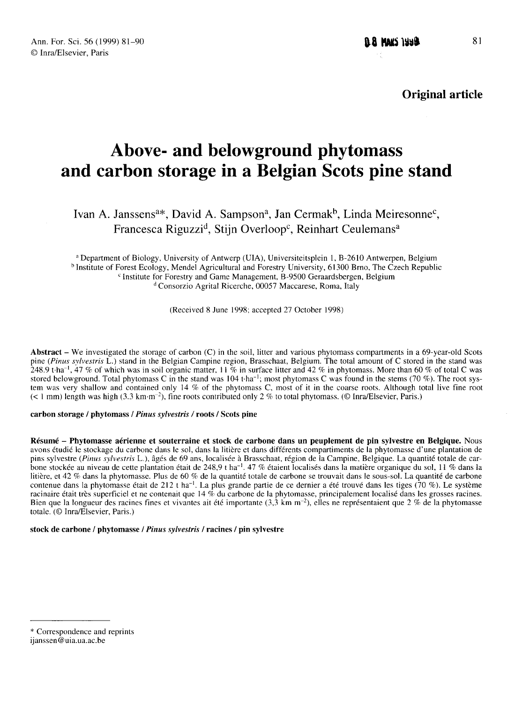Original article

# Above- and belowground phytomass Above- and belowground phytomass<br>
and carbon storage in a Belgian Scots pine stand<br>
Ivan A. Janssens<sup>a\*</sup>, David A. Sampson<sup>a</sup>, Jan Cermak<sup>b</sup>, Linda Meiresonne<sup>c</sup>,<br>
Francesca Riguzzi<sup>d</sup>, Stijn Overloop<sup>c</sup>, Reinhart Ceuleman

Francesca **torage in a Belgian Scots pine**<br>Riguzzi<sup>d</sup>, Stijn Overloop<sup>c</sup>, Reinhart Ceulemans<sup>8</sup>, Linda Mein van A. Janssens<sup>a\*</sup>, David A. Sampson<sup>a</sup>, Jan Cermak<sup>b</sup>, Linda Meiresonne<sup>c</sup><br>Francesca Riguzzi<sup>d</sup>, Stijn Overloop<sup>c</sup>, Reinhart Ceulemans<sup>a</sup><br><sup>a</sup> Department of Biology, University of Antwerp (UIA), Universiteitsplein 1, B-26

<sup>a</sup> Depart<br><sup>b</sup> Institute <sup>o</sup> Institute of Forest Ecology, Mendel Agricultural and Forestry University, 61300 Brno, The Czech Republic <sup>c</sup> Institute for Forestry and Game Management, B-9500 Geraardsbergen, Belgium <sup>a</sup> Department of Biology, University of Antwerp (UIA), Universiteitsplein 1, B-2610 Antwerpen, Belgium Consorzio Agrital Ricerche, 00057 Maccarese, Roma, Italy

(Received 8 June 1998; accepted 27 October 1998)

Abstract – We investigated the storage of carbon (C) in the soil, litter and various phytomass compartments in a 69-year-old Scots pine (Pinus sylvestris L.) stand in the Belgian Campine region, Brasschaat, Belgium. The total amount of C stored in the stand was **Abstract** – We investigated the storage of carbon (C) in the soil, litter and various phytomass compartments in a 69-year-old Scots pine (*Pinus sylvestris* L.) stand in the Belgian Campine region, Brasschaat, Belgium. T pine (*Pinus sylvestris* L.) stand in the Belgian Campine region, Brasschaat, Belgium. The total amount of C stored in the stand was 248.9 t·ha<sup>-1</sup>, 47 % of which was in soil organic matter, 11 % in surface litter and 42 tem was very shallow and contained only 14 % of the phytomass C, most of it in the coarse roots. Although total live fine root  $(<$  1 mm) length was high (3.3 km·m<sup>-2</sup>), fine roots contributed only 2 % to total phytomass.

#### carbon storage / phytomass / Pinus sylvestris / roots / Scots pine

Résumé - Phytomasse aérienne et souterraine et stock de carbone dans un peuplement de pin sylvestre en Belgique. Nous avons étudié le stockage du carbone dans le sol, dans la litière et dans différents compartiments de la phytomasse d'une plantation de pins sylvestre (Pinus sylvestris L.), âgés de 69 ans, localisée à Brasschaat, région de la Campine, Belgique. La quantité totale de carbone stockée au niveau de cette plantation était de 248,9 t ha<sup>-1</sup>. 47 % étaient localisés dans la matière organique du sol, 11 % dans la bonc sidere au myeau de cette plantation cian de 248,9 e na . 47 % etalem localises dans la mateix organique du sol, 11 % dans la<br>litière, et 42 % dans la phytomasse. Plus de 60 % de la quantité totale de carbone se trouv contenue dans la phytomasse etait de 212 t na  $\cdot$ . La plus grande partie de ce definer à ete trouve dans les tiges (70 %). Le système<br>Bien que la longueur des racines fines et vivantes ait été importante (3,3 km m<sup>-2</sup>), totale. (© Inra/Elsevier, Paris.)

## stock de carbone / phytomasse / Pinus sylvestris / racines / pin sylvestre

<sup>\*</sup> Correspondence and reprints

ijanssen@uia.ua.ac.be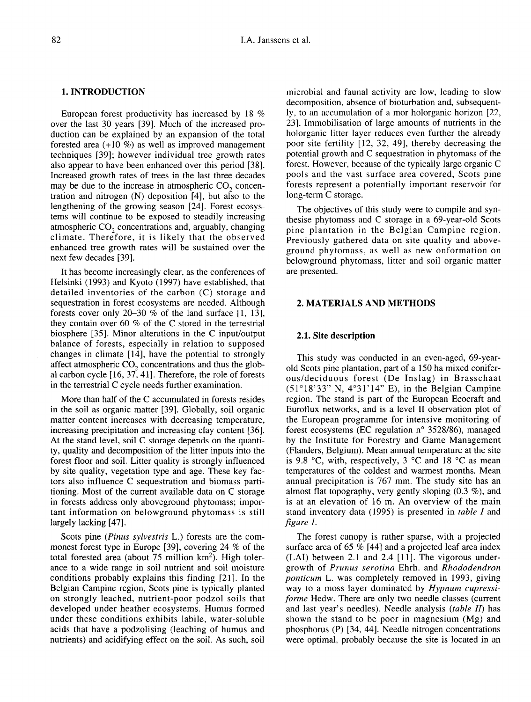## 1. INTRODUCTION

European forest productivity has increased by 18 % over the last 30 years [39]. Much of the increased production can be explained by an expansion of the total forested area  $(+10\%)$  as well as improved management techniques [39]; however individual tree growth rates also appear to have been enhanced over this period [38]. Increased growth rates of trees in the last three decades may be due to the increase in atmospheric  $CO<sub>2</sub>$  concentration and nitrogen (N) deposition [4], but also to the lengthening of the growing season [24]. Forest ecosystems will continue to be exposed to steadily increasing<br>atmospheric  $CO_2$  concentrations and, arguably, changing<br>climate. Therefore, it is likely that the observed climate. Therefore, it is likely that the observed enhanced tree growth rates will be sustained over the next few decades [39].

It has become increasingly clear, as the conferences of Helsinki (1993) and Kyoto (1997) have established, that detailed inventories of the carbon (C) storage and sequestration in forest ecosystems are needed. Although forests cover only 20-30 % of the land surface [1, 13], they contain over 60 % of the C stored in the terrestrial biosphere [35]. Minor alterations in the C input/output balance of forests, especially in relation to supposed changes in climate [14], have the potential to strongly affect atmospheric  $CO<sub>2</sub>$  concentrations and thus the global carbon cycle [16, 37, 41]. Therefore, the role of forests in the terrestrial C cycle needs further examination.

More than half of the C accumulated in forests resides in the soil as organic matter [39]. Globally, soil organic matter content increases with decreasing temperature, increasing precipitation and increasing clay content [36]. At the stand level, soil C storage depends on the quantity, quality and decomposition of the litter inputs into the forest floor and soil. Litter quality is strongly influenced by site quality, vegetation type and age. These key factors also influence C sequestration and biomass partitioning. Most of the current available data on C storage in forests address only aboveground phytomass; impor tant information on belowground phytomass is still largely lacking [47].

Scots pine (Pinus sylvestris L.) forests are the com-Scots pine (*Pinus sylvestris* L.) forests are the com-<br>monest forest type in Europe [39], covering 24 % of the<br>total forested area (about 75 million km<sup>2</sup>). High toler-<br>ance to a wide range in soil nutrient and soil moist ance to a wide range in soil nutrient and soil moisture conditions probably explains this finding [21]. In the Belgian Campine region, Scots pine is typically planted on strongly leached, nutrient-poor podzol soils that developed under heather ecosystems. Humus formed under these conditions exhibits labile, water-soluble acids that have a podzolising (leaching of humus and nutrients) and acidifying effect on the soil. As such, soil

microbial and faunal activity are low, leading to slow decomposition, absence of bioturbation and, subsequently, to an accumulation of a mor holorganic horizon [22, 23]. Immobilisation of large amounts of nutrients in the holorganic litter layer reduces even further the already poor site fertility [12, 32, 49], thereby decreasing the potential growth and C sequestration in phytomass of the forest. However, because of the typically large organic C pools and the vast surface area covered, Scots pine forests represent a potentially important reservoir for long-term C storage.

The objectives of this study were to compile and synthesise phytomass and C storage in a 69-year-old Scots pine plantation in the Belgian Campine region. Previously gathered data on site quality and aboveground phytomass, as well as new onformation on belowground phytomass, litter and soil organic matter are presented.

# 2. MATERIALS AND METHODS

## 2.1. Site description

This study was conducted in an even-aged, 69-yearold Scots pine plantation, part of a 150 ha mixed coniferous/deciduous forest (De Inslag) in Brasschaat (51°18'33" N, 4°31'14" E), in the Belgian Campine region. The stand is part of the European Ecocraft and Euroflux networks, and is a level II observation plot of the European programme for intensive monitoring of forest ecosystems (EC regulation n° 3528/86), managed by the Institute for Forestry and Game Management (Flanders, Belgium). Mean annual temperature at the site is 9.8  $\degree$ C, with, respectively, 3  $\degree$ C and 18  $\degree$ C as mean temperatures of the coldest and warmest months. Mean annual precipitation is 767 mm. The study site has an almost flat topography, very gently sloping (0.3 %), and is at an elevation of 16 m. An overview of the main stand inventory data (1995) is presented in table I and figure 1.

The forest canopy is rather sparse, with a projected surface area of 65 % [44] and a projected leaf area index (LAI) between 2.1 and 2.4 [11]. The vigorous undergrowth of Prunus serotina Ehrh. and Rhododendron ponticum L. was completely removed in 1993, giving way to a moss layer dominated by Hypnum cupressiforme Hedw. There are only two needle classes (current and last year's needles). Needle analysis (table II) has shown the stand to be poor in magnesium (Mg) and phosphorus (P) [34, 44]. Needle nitrogen concentrations were optimal, probably because the site is located in an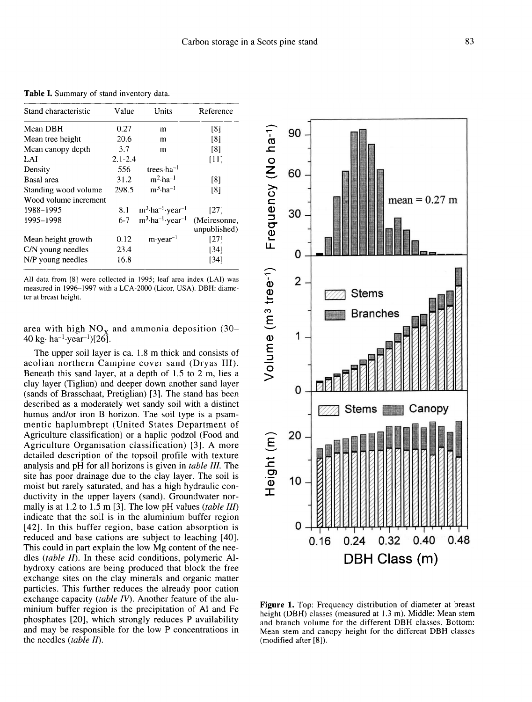Table I. Summary of stand inventory data.

| Stand characteristic  | Value       | Units                                       | Reference                    |
|-----------------------|-------------|---------------------------------------------|------------------------------|
| Mean DBH              | 0.27        | m                                           | [8]                          |
| Mean tree height      | 20.6        | m                                           | [8]                          |
| Mean canopy depth     | 3.7         | m                                           | [8]                          |
| LAI                   | $2.1 - 2.4$ |                                             | [11]                         |
| Density               | 556         | trees $ha^{-1}$                             |                              |
| Basal area            | 31.2.       | $m^2$ -ha <sup>-1</sup>                     | [8]                          |
| Standing wood volume  | 298.5       | $m^3$ -ha <sup>-1</sup>                     | [8]                          |
| Wood volume increment |             |                                             |                              |
| 1988-1995             | 8.1         | $m^3$ -ha <sup>-1</sup> -year <sup>-1</sup> | [27]                         |
| 1995-1998             | $6-7$       | $m^3$ -ha <sup>-1</sup> -year <sup>-1</sup> | (Meiresonne,<br>unpublished) |
| Mean height growth    | 0.12        | $m$ vear <sup>-1</sup>                      | [27]                         |
| C/N young needles     | 23.4        |                                             | [34]                         |
| N/P young needles     | 16.8        |                                             | [34]                         |

All data from [8] were collected in 1995; leaf area index (LAI) was measured in 1996-1997 with a LCA-2000 (Licor, USA). DBH: diameter at breast height.

area with high  $NO_x$  and ammonia deposition (30-40 kg· ha<sup>-1</sup>·year<sup>-1</sup>)[26].

The upper soil layer is ca. 1.8 m thick and consists of aeolian northern Campine cover sand (Dryas III). Beneath this sand layer, at a depth of 1.5 to 2 m, lies a clay layer (Tiglian) and deeper down another sand layer (sands of Brasschaat, Pretiglian) [3]. The stand has been described as a moderately wet sandy soil with a distinct humus and/or iron B horizon. The soil type is a psammentic haplumbrept (United States Department of Agriculture classification) or a haplic podzol (Food and Agriculture Organisation classification) [3]. A more detailed description of the topsoil profile with texture analysis and pH for all horizons is given in table III. The site has poor drainage due to the clay layer. The soil is moist but rarely saturated, and has a high hydraulic conductivity in the upper layers (sand). Groundwater normally is at 1.2 to 1.5 m [3]. The low pH values (table III) indicate that the soil is in the aluminium buffer region [42]. In this buffer region, base cation absorption is reduced and base cations are subject to leaching [40]. This could in part explain the low Mg content of the needles (table II). In these acid conditions, polymeric Alhydroxy cations are being produced that block the free exchange sites on the clay minerals and organic matter particles. This further reduces the already poor cation exchange capacity (table IV). Another feature of the aluminium buffer region is the precipitation of Al and Fe phosphates [20], which strongly reduces P availability and may be responsible for the low P concentrations in the needles (table II).

Frequency (No ha-1) 90 60  $mean = 0.27$  m 30 0 Volume (m<sup>3</sup> tree-1)  $\overline{2}$ **Stems Branches** 1 0 Stems Canopy 20 Height (m) 10 0 0.32  $0.40$ 0.48  $0.24$  $0.16$ DBH Class (m)

Figure 1. Top: Frequency distribution of diameter at breast height (DBH) classes (measured at 1.3 m). Middle: Mean stem and branch volume for the different DBH classes. Bottom: Mean stem and canopy height for the different DBH classes (modified after [8]).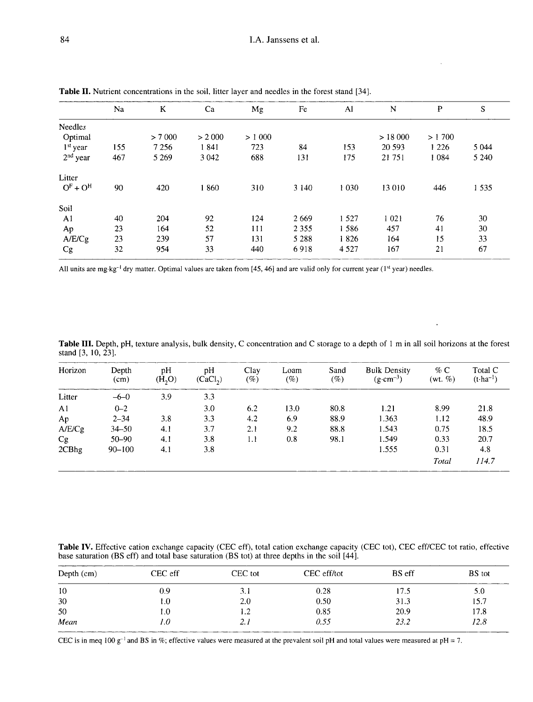| Na  | K       | Ca      | Mg     | Fe      | Al      | N       | P       | S       |
|-----|---------|---------|--------|---------|---------|---------|---------|---------|
|     |         |         |        |         |         |         |         |         |
|     | > 7000  | > 2000  | > 1000 |         |         | >18000  | > 1700  |         |
| 155 | 7 2 5 6 | 1841    | 723    | 84      | 153     | 20 5 93 | 1 2 2 6 | 5 0 4 4 |
| 467 | 5 2 6 9 | 3 0 4 2 | 688    | 131     | 175     | 21 751  | 1 0 8 4 | 5 2 4 0 |
|     |         |         |        |         |         |         |         |         |
| 90  | 420     | 1860    | 310    | 3 1 4 0 | 1 0 3 0 | 13 010  | 446     | 1 5 3 5 |
|     |         |         |        |         |         |         |         |         |
| 40  | 204     | 92      | 124    | 2669    | 1 5 2 7 | 1 0 2 1 | 76      | 30      |
| 23  | 164     | 52      | 111    | 2 3 5 5 | 1586    | 457     | 41      | 30      |
| 23  | 239     | 57      | 131    | 5 2 8 8 | 1826    | 164     | 15      | 33      |
| 32  | 954     | 33      | 440    | 6918    | 4 5 2 7 | 167     | 21      | 67      |
|     |         |         |        |         |         |         |         |         |

**Table II.** Nutrient concentrations in the soil, litter layer and needles in the forest stand [34].

All units are mg·kg<sup>-1</sup> dry matter. Optimal values are taken from [45, 46] and are valid only for current year (1<sup>st</sup> year) needles.

Table III. Depth, pH, texture analysis, bulk density, C concentration and C storage to a depth of 1 m in all soil horizons at the forest stand [3, 10, 23].

 $\ddot{\phantom{1}}$ 

| Horizon        | Depth<br>(cm) | pH<br>(H, O) | pH<br>(CaCl <sub>2</sub> ) | Clay<br>$(\%)$ | Loam<br>$( \% )$ | Sand<br>$( \% )$ | <b>Bulk Density</b><br>$(g \cdot cm^{-3})$ | $\%$ C<br>(wt. $\%$ ) | Total C<br>$(t$ -ha <sup>-1</sup> ) |
|----------------|---------------|--------------|----------------------------|----------------|------------------|------------------|--------------------------------------------|-----------------------|-------------------------------------|
| Litter         | $-6 - 0$      | 3.9          | 3.3                        |                |                  |                  |                                            |                       |                                     |
| A <sub>1</sub> | $0 - 2$       |              | 3.0                        | 6.2            | 13.0             | 80.8             | 1.21                                       | 8.99                  | 21.8                                |
| Ap             | $2 - 34$      | 3.8          | 3.3                        | 4.2            | 6.9              | 88.9             | 1.363                                      | 1.12                  | 48.9                                |
| A/E/Cg         | $34 - 50$     | 4.1          | 3.7                        | 2.1            | 9.2              | 88.8             | 1.543                                      | 0.75                  | 18.5                                |
| Cg             | $50 - 90$     | 4.1          | 3.8                        | 1.1            | 0.8              | 98.1             | 1.549                                      | 0.33                  | 20.7                                |
| 2CBhg          | $90 - 100$    | 4.1          | 3.8                        |                |                  |                  | 1.555                                      | 0.31                  | 4.8                                 |
|                |               |              |                            |                |                  |                  |                                            | Total                 | 114.7                               |

Table IV. Effective cation exchange capacity (CEC eff), total cation exchange capacity (CEC tot), CEC eff/CEC tot ratio, effective base saturation (BS eff) and total base saturation (BS tot) at three depths in the soil [44].

| Depth $(cm)$ | CEC eff | CEC tot | CEC eff/tot | BS eff | <b>BS</b> tot |
|--------------|---------|---------|-------------|--------|---------------|
| 10           | 0.9     | 3.1     | 0.28        | 17.5   | 5.0           |
| 30           | l.O     | 2.0     | 0.50        | 31.3   | 15.7          |
| 50           | 1.0     | 1.2     | 0.85        | 20.9   | 17.8          |
| Mean         | 1.0     | 2.1     | 0.55        | 23.2   | 12.8          |

CEC is in meq 100  $g^{-1}$  and BS in %; effective values were measured at the prevalent soil pH and total values were measured at pH = 7.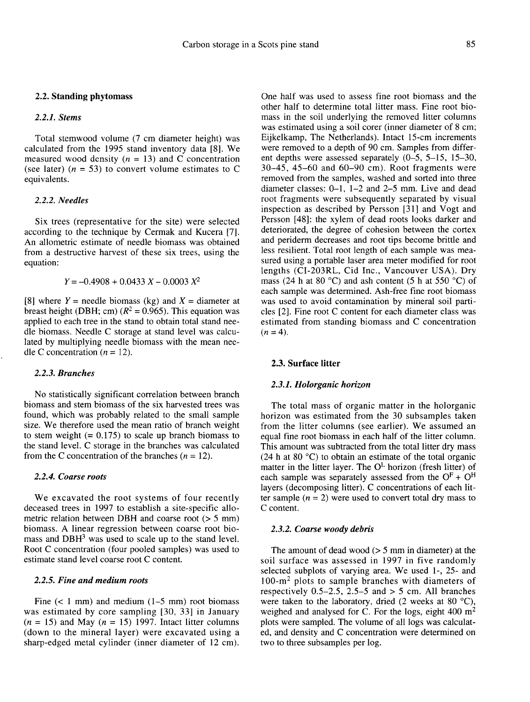## 2.2. Standing phytomass

## 2.2.1. Stems

Total stemwood volume (7 cm diameter height) was calculated from the 1995 stand inventory data [8]. We measured wood density  $(n = 13)$  and C concentration (see later) ( $n = 53$ ) to convert volume estimates to C equivalents.

## 2.2.2. Needles

Six trees (representative for the site) were selected according to the technique by Cermak and Kucera [7]. An allometric estimate of needle biomass was obtained from a destructive harvest of these six trees, using the equation:

 $Y = -0.4908 + 0.0433 X - 0.0003 X^2$ 

[8] where  $Y =$  needle biomass (kg) and  $X =$  diameter at breast height (DBH; cm) ( $R^2 = 0.965$ ). This equation was applied to each tree in the stand to obtain total stand needle biomass. Needle C storage at stand level was calculated by multiplying needle biomass with the mean needle C concentration ( $n = 12$ ).

## 2.2.3. Branches

No statistically significant correlation between branch biomass and stem biomass of the six harvested trees was found, which was probably related to the small sample size. We therefore used the mean ratio of branch weight to stem weight  $(= 0.175)$  to scale up branch biomass to the stand level. C storage in the branches was calculated from the C concentration of the branches  $(n = 12)$ .

## 2.2.4. Coarse roots

We excavated the root systems of four recently deceased trees in 1997 to establish a site-specific allometric relation between DBH and coarse root  $(> 5 \text{ mm})$ <br>biomass. A linear regression between coarse root bio-<br>mass and DBH<sup>3</sup> was used to scale up to the stand level.<br>Poot C concentration (four pooled somples) was used to biomass. A linear regression between coarse root bio-<br>mass and DBH<sup>3</sup> was used to scale up to the stand level. Root C concentration (four pooled samples) was used to estimate stand level coarse root C content.

# 2.2.5. Fine and medium roots

Fine  $(< 1$  mm) and medium  $(1-5$  mm) root biomass was estimated by core sampling [30, 33] in January  $(n = 15)$  and May  $(n = 15)$  1997. Intact litter columns (down to the mineral layer) were excavated using a sharp-edged metal cylinder (inner diameter of 12 cm).

One half was used to assess fine root biomass and the other half to determine total litter mass. Fine root biomass in the soil underlying the removed litter columns was estimated using a soil corer (inner diameter of 8 cm; Eijkelkamp, The Netherlands). Intact 15-cm increments were removed to a depth of 90 cm. Samples from different depths were assessed separately  $(0-5, 5-15, 15-30,$  $30-45$ ,  $45-60$  and  $60-90$  cm). Root fragments were removed from the samples, washed and sorted into three diameter classes: 0-1, 1-2 and 2-5 mm. Live and dead root fragments were subsequently separated by visual inspection as described by Persson [31] and Vogt and Persson [48]: the xylem of dead roots looks darker and deteriorated, the degree of cohesion between the cortex and periderm decreases and root tips become brittle and less resilient. Total root length of each sample was measured using a portable laser area meter modified for root lengths (CI-203RL, Cid Inc., Vancouver USA). Dry mass (24 h at 80 °C) and ash content (5 h at 550 °C) of each sample was determined. Ash-free fine root biomass was used to avoid contamination by mineral soil particles [2]. Fine root C content for each diameter class was estimated from standing biomass and C concentration  $(n = 4)$ .

# 2.3. Surface litter

# 2.3.1. Holorganic horizon

The total mass of organic matter in the holorganic horizon was estimated from the 30 subsamples taken from the litter columns (see earlier). We assumed an equal fine root biomass in each half of the litter column. This amount was subtracted from the total litter dry mass  $(24 \text{ h at } 80 \degree \text{C})$  to obtain an estimate of the total organic matter in the litter layer. The  $O<sup>L</sup>$  horizon (fresh litter) of each sample was separately assessed from the  $O^F + O^H$ layers (decomposing litter). C concentrations of each litter sample  $(n = 2)$  were used to convert total dry mass to C content.

## 2.3.2. Coarse woody debris

The amount of dead wood  $(5.5 \text{ mm})$  in diameter) at the soil surface was assessed in 1997 in five randomly selected subplots of varying area. We used 1-, 25- and 100-m<sup>2</sup> plots to sample branches with diameters of The amount of dead wood ( $> 5$  mm in diameter) at the soil surface was assessed in 1997 in five randomly selected subplots of varying area. We used 1-, 25- and 100-m<sup>2</sup> plots to sample branches with diameters of respectiv respectively  $0.5-2.5$ ,  $2.5-5$  and  $> 5$  cm. All branches were taken to the laboratory, dried (2 weeks at 80 °C), weighed and analysed for C. For the logs, eight 400 m<sup>2</sup> plots were sampled. The volume of all logs was calculated, and density and C concentration were determined on two to three subsamples per log.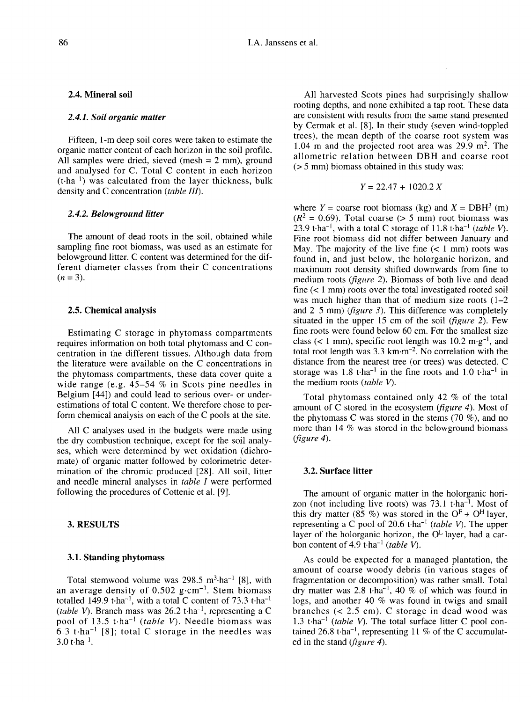## 2.4. Mineral soil

#### 2.4.1. Soil organic matter

Fifteen, 1-m deep soil cores were taken to estimate the organic matter content of each horizon in the soil profile. All samples were dried, sieved (mesh = 2 mm), ground<br>and analysed for C. Total C content in each horizon<br>(t·ha<sup>-1</sup>) was calculated from the layer thickness, bulk<br>density and C concentration (*table III*). and analysed for C. Total C content in each horizon  $(t \cdot ha^{-1})$  was calculated from the layer thickness, bulk density and C concentration (table III).

#### 2.4.2. Belowground litter

The amount of dead roots in the soil, obtained while sampling fine root biomass, was used as an estimate for belowground litter. C content was determined for the different diameter classes from their C concentrations  $(n = 3)$ .

## 2.5. Chemical analysis

Estimating C storage in phytomass compartments requires information on both total phytomass and C concentration in the different tissues. Although data from the literature were available on the C concentrations in the phytomass compartments, these data cover quite a wide range (e.g. 45-54 % in Scots pine needles in Belgium [44]) and could lead to serious over- or underestimations of total C content. We therefore chose to perform chemical analysis on each of the C pools at the site.

All C analyses used in the budgets were made using the dry combustion technique, except for the soil analy ses, which were determined by wet oxidation (dichromate) of organic matter followed by colorimetric determination of the chromic produced [28]. All soil, litter and needle mineral analyses in table I were performed following the procedures of Cottenie et al. [9].

## 3. RESULTS

#### 3.1. Standing phytomass

Total stemwood volume was 298.5 m<sup>3</sup>·ha<sup>-1</sup> [8], with an average density of 0.502 g·cm<sup>-3</sup>. Stem biomass **3.1. Standing phytomass**<br>
Total stemwood volume was 298.5 m<sup>3</sup>·ha<sup>-1</sup> [8], with<br>
an average density of 0.502 g·cm<sup>-3</sup>. Stem biomass<br>
totalled 149.9 t·ha<sup>-1</sup>, with a total C content of 73.3 t·ha<sup>-1</sup><br>
(table X). Branch mas an average density of 0.502 g·cm<sup>-3</sup>. Stem biomass<br>totalled 149.9 t·ha<sup>-1</sup>, with a total C content of 73.3 t·ha<sup>-1</sup><br>(*table V*). Branch mass was 26.2 t·ha<sup>-1</sup>, representing a C<br>pool of 13.5 t·ha<sup>-1</sup> (*table V*). Needle bi (*table V*). Branch mass was 26.2 t·ha<sup>-1</sup>, representing a C pool of 13.5 t·ha<sup>-1</sup> (*table V*). Needle biomass was pool of 13.5 t·ha<sup>-1</sup> (*table V*). Needle biomass was<br>6.3 t·ha<sup>-1</sup> [8]; total C storage in the needles was<br>3.0 t·ha<sup>-1</sup>.

All harvested Scots pines had surprisingly shallow rooting depths, and none exhibited a tap root. These data are consistent with results from the same stand presented by Cermak et al. [8]. In their study (seven wind-toppled trees), the mean depth of the coarse root system was 1.04 m and the projected root area was  $29.9 \text{ m}^2$ . The allometric relation between DBH and coarse root (> 5 mm) biomass obtained in this study was:

$$
Y = 22.47 + 1020.2 X
$$

where  $Y = \text{coarse root biomass}$  (kg) and  $X = DBH^3$  (m)  $(R^2 = 0.69)$ . Total coarse (> 5 mm) root biomass was 23.9 t $\cdot$ ha<sup>-1</sup>, with a total C storage of 11.8 t $\cdot$ ha<sup>-1</sup> (table V). Fine root biomass did not differ between January and May. The majority of the live fine  $(< 1$  mm) roots was found in, and just below, the holorganic horizon, and maximum root density shifted downwards from fine to medium roots (figure 2). Biomass of both live and dead fine  $(< 1$  mm) roots over the total investigated rooted soil was much higher than that of medium size roots  $(1-2)$ and 2-5 mm) (figure 3). This difference was completely situated in the upper 15 cm of the soil (*figure 2*). Few fine roots were found below 60 cm. For the smallest size situated in the upper 15 cm of the soil (*figure 2*). Few<br>fine roots were found below 60 cm. For the smallest size<br>class (< 1 mm), specific root length was 10.2 m·g<sup>-1</sup>, and<br>total root length was 3.3 km·m<sup>-2</sup>. No correlat distance from the nearest tree (or trees) was detected. C storage was  $1.8$  t·ha<sup>-1</sup> in the fine roots and  $1.0$  t·ha<sup>-1</sup> in the medium roots (table V).

Total phytomass contained only 42 % of the total amount of C stored in the ecosystem (figure 4). Most of the phytomass C was stored in the stems (70 %), and no more than 14 % was stored in the belowground biomass (figure 4).

## 3.2. Surface litter

The amount of organic matter in the holorganic hori-The amount of organic matter in the holorganic horizon (not including live roots) was 73.1 t·ha<sup>-1</sup>. Most of this dry matter (85 %) was stored in the  $O_F^F + O_H^H$  layer zon (not including live roots) was 73.1 t-ha<sup>-1</sup>. Most of this dry matter (85 %) was stored in the  $O<sup>F</sup> + O<sup>H</sup>$  layer, representing a C pool of 20.6 t $\cdot$ ha<sup>-1</sup> (table V). The upper layer of the holorganic horizon, the  $O<sup>L</sup>$  layer, had a carbon content of 4.9 t $\cdot$ ha<sup>-1</sup> (table V).

As could be expected for a managed plantation, the amount of coarse woody debris (in various stages of fragmentation or decomposition) was rather small. Total dry matter was  $2.8$  t·ha<sup>-1</sup>, 40 % of which was found in logs, and another 40 % was found in twigs and small branches (< 2.5 cm). C storage in dead wood was branches (< 2.5 cm). C storage in dead wood was<br>1.3 t·ha<sup>-1</sup> (table V). The total surface litter C pool con-<br>tained 26.8 t·ha<sup>-1</sup>, representing 11 % of the C accumulat-<br>ed in the stand (figure 4) ed in the stand (*figure 4*).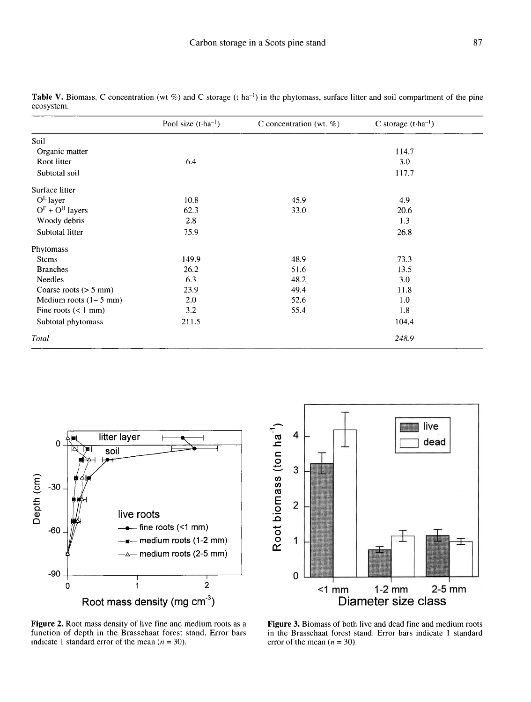|                         | Pool size $(t \cdot ha^{-1})$ | C concentration (wt. $%$ ) | C storage $(t \cdot ha^{-1})$ |
|-------------------------|-------------------------------|----------------------------|-------------------------------|
| Soil                    |                               |                            |                               |
| Organic matter          |                               |                            | 114.7                         |
| Root litter             | 6.4                           |                            | 3.0                           |
| Subtotal soil           |                               |                            | 117.7                         |
| Surface litter          |                               |                            |                               |
| $O^L$ layer             | 10.8                          | 45.9                       | 4.9                           |
| $OF + OH$ layers        | 62.3                          | 33.0                       | 20.6                          |
| Woody debris            | 2.8                           |                            | 1.3                           |
| Subtotal litter         | 75.9                          |                            | 26.8                          |
| Phytomass               |                               |                            |                               |
| <b>Stems</b>            | 149.9                         | 48.9                       | 73.3                          |
| <b>Branches</b>         | 26.2                          | 51.6                       | 13.5                          |
| <b>Needles</b>          | 6.3                           | 48.2                       | 3.0                           |
| Coarse roots $(> 5$ mm) | 23.9                          | 49.4                       | 11.8                          |
| Medium roots $(1-5$ mm) | 2.0                           | 52.6                       | 1.0                           |
| Fine roots $(< 1$ mm)   | 3.2                           | 55.4                       | 1.8                           |
| Subtotal phytomass      | 211.5                         |                            | 104.4                         |
| Total                   |                               |                            | 248.9                         |

Table V. Biomass, C concentration (wt %) and C storage (t ha<sup>-1</sup>) in the phytomass, surface litter and soil compartment of the pine ecosystem.



Figure 2. Root mass density of live fine and medium roots as a function of depth in the Brasschaat forest stand. Error bars indicate 1 standard error of the mean  $(n = 30)$ .



Figure 3. Biomass of both live and dead fine and medium roots in the Brasschaat forest stand. Error bars indicate 1 standard error of the mean  $(n = 30)$ .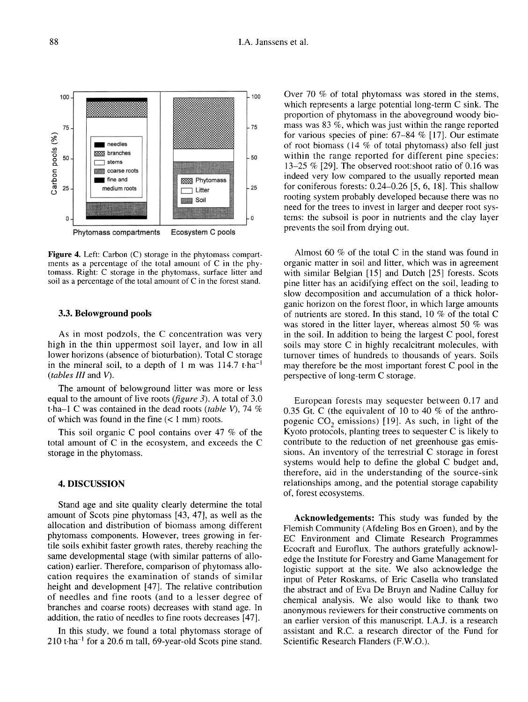Figure 4. Left: Carbon (C) storage in the phytomass compartments as a percentage of the total amount of C in the phytomass. Right: C storage in the phytomass, surface litter and soil as a percentage of the total amount of C in the forest stand.

## 3.3. Belowground pools

As in most podzols, the C concentration was very high in the thin uppermost soil layer, and low in all lower horizons (absence of bioturbation). Total C storage in the mineral soil, to a depth of 1 m was  $114.7$  t·ha<sup>-1</sup> (tables III and V).

The amount of belowground litter was more or less equal to the amount of live roots (*figure 3*). A total of  $3.0$ t $\cdot$ ha–1 C was contained in the dead roots (table V), 74 % of which was found in the fine  $(< 1$  mm) roots.

This soil organic C pool contains over 47 % of the total amount of C in the ecosystem, and exceeds the C storage in the phytomass.

# 4. DISCUSSION

Stand age and site quality clearly determine the total amount of Scots pine phytomass [43, 47], as well as the allocation and distribution of biomass among different phytomass components. However, trees growing in fertile soils exhibit faster growth rates, thereby reaching the same developmental stage (with similar patterns of allocation) earlier. Therefore, comparison of phytomass allocation requires the examination of stands of similar height and development [47]. The relative contribution of needles and fine roots (and to a lesser degree of branches and coarse roots) decreases with stand age. In addition, the ratio of needles to fine roots decreases [47].

In this study, we found a total phytomass storage of  $210$  t·ha<sup>-1</sup> for a 20.6 m tall, 69-year-old Scots pine stand.

Over 70 % of total phytomass was stored in the stems, which represents a large potential long-term C sink. The proportion of phytomass in the aboveground woody biomass was 83 %, which was just within the range reported for various species of pine: 67-84 % [17]. Our estimate of root biomass (14 % of total phytomass) also fell just within the range reported for different pine species: 13-25 % [29]. The observed root:shoot ratio of 0.16 was indeed very low compared to the usually reported mean for coniferous forests: 0.24-0.26 [5, 6, 18]. This shallow rooting system probably developed because there was no need for the trees to invest in larger and deeper root systems: the subsoil is poor in nutrients and the clay layer prevents the soil from drying out.

Almost 60 % of the total C in the stand was found in organic matter in soil and litter, which was in agreement with similar Belgian [15] and Dutch [25] forests. Scots pine litter has an acidifying effect on the soil, leading to slow decomposition and accumulation of a thick holorganic horizon on the forest floor, in which large amounts of nutrients are stored. In this stand, 10 % of the total C was stored in the litter layer, whereas almost 50 % was in the soil. In addition to being the largest C pool, forest soils may store C in highly recalcitrant molecules, with turnover times of hundreds to thousands of years. Soils may therefore be the most important forest C pool in the perspective of long-term C storage.

European forests may sequester between 0.17 and 0.35 Gt. C (the equivalent of 10 to 40 % of the anthro-<br>pogenic CO<sub>2</sub> emissions) [19]. As such, in light of the<br>Kyoto protocols, planting trees to sequester C is likely to Kyoto protocols, planting trees to sequester C is likely to contribute to the reduction of net greenhouse gas emissions. An inventory of the terrestrial C storage in forest systems would help to define the global C budget and, therefore, aid in the understanding of the source-sink relationships among, and the potential storage capability of, forest ecosystems.

Acknowledgements: This study was funded by the Flemish Community (Afdeling Bos en Groen), and by the EC Environment and Climate Research Programmes Ecocraft and Euroflux. The authors gratefully acknowledge the Institute for Forestry and Game Management for logistic support at the site. We also acknowledge the input of Peter Roskams, of Eric Casella who translated the abstract and of Eva De Bruyn and Nadine Calluy for chemical analysis. We also would like to thank two anonymous reviewers for their constructive comments on an earlier version of this manuscript. I.A.J. is a research assistant and R.C. a research director of the Fund for Scientific Research Flanders (F.W.O.).

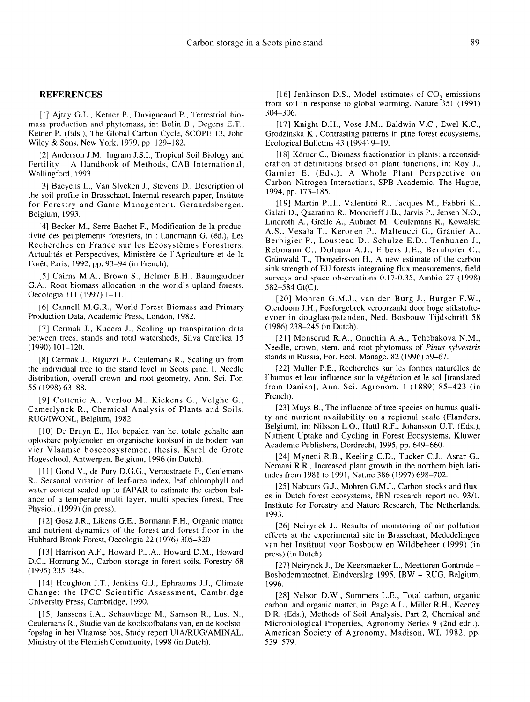#### REFERENCES

[1] Ajtay G.L., Ketner P., Duvigneaud P., Terrestrial biomass production and phytomass, in: Bolin B., Degens E.T., Ketner P. (Eds.), The Global Carbon Cycle, SCOPE 13, John Wiley & Sons, New York, 1979, pp. 129-182.

[2] Anderson J.M., Ingram J.S.I., Tropical Soil Biology and Fertility - A Handbook of Methods, CAB International, Wallingford, 1993.

[3] Baeyens L., Van Slycken J., Stevens D., Description of the soil profile in Brasschaat, Internal research paper, Institute for Forestry and Game Management, Geraardsbergen, Belgium, 1993.

[4] Becker M., Serre-Bachet F., Modification de la productivité des peuplements forestiers, in : Landmann G. (éd.), Les Recherches en France sur les Ecosystèmes Forestiers. Actualités et Perspectives, Ministère de l'Agriculture et de la Forêt, Paris, 1992, pp. 93-94 (in French).

[5] Cairns M.A., Brown S., Helmer E.H., Baumgardner G.A., Root biomass allocation in the world's upland forests, Oecologia 111 (1997) 1-11.

[6] Cannell M.G.R., World Forest Biomass and Primary Production Data, Academic Press, London, 1982.

[7] Cermak J., Kucera J., Scaling up transpiration data between trees, stands and total watersheds, Silva Carelica 15 (1990) 101-120.

[8] Cermak J., Riguzzi F., Ceulemans R., Scaling up from the individual tree to the stand level in Scots pine. I. Needle distribution, overall crown and root geometry, Ann. Sci. For. 55 (1998) 63-88.

[9] Cottenie A., Verloo M., Kiekens G., Velghe G., Camerlynck R., Chemical Analysis of Plants and Soils, RUG/IWONL, Belgium, 1982.

[10] De Bruyn E., Het bepalen van het totale gehalte aan oplosbare polyfenolen en organische koolstof in de bodem van vier Vlaamse bosecosystemen, thesis, Karel de Grote Hogeschool, Antwerpen, Belgium, 1996 (in Dutch).

[11] Gond V., de Pury D.G.G., Veroustraete F., Ceulemans R., Seasonal variation of leaf-area index, leaf chlorophyll and water content scaled up to fAPAR to estimate the carbon balance of a temperate multi-layer, multi-species forest, Tree Physiol. (1999) (in press).

[12] Gosz J.R., Likens G.E., Bormann F.H., Organic matter and nutrient dynamics of the forest and forest floor in the Hubbard Brook Forest, Oecologia 22 (1976) 305-320.

[13] Harrison A.F., Howard P.J.A., Howard D.M., Howard D.C., Hornung M., Carbon storage in forest soils, Forestry 68 (1995) 335-348.

[14] Houghton J.T., Jenkins G.J., Ephraums J.J., Climate Change: the IPCC Scientific Assessment, Cambridge University Press, Cambridge, 1990.

[15] Janssens I.A., Schauvliege M., Samson R., Lust N., Ceulemans R., Studie van de koolstofbalans van, en de koolstofopslag in het Vlaamse bos, Study report UIA/RUG/AMINAL, Ministry of the Flemish Community, 1998 (in Dutch).

[16] Jenkinson D.S., Model estimates of  $CO<sub>2</sub>$  emissions from soil in response to global warming, Nature 351 (1991) 304-306.

[17] Knight D.H., Vose J.M., Baldwin V.C., Ewel K.C., Grodzinska K., Contrasting patterns in pine forest ecosystems, Ecological Bulletins 43 (1994) 9-19.

[18] Körner C., Biomass fractionation in plants: a reconsideration of definitions based on plant functions, in: Roy J., Garnier E. (Eds.), A Whole Plant Perspective on Carbon-Nitrogen Interactions, SPB Academic, The Hague, 1994, pp. 173-185.

[19] Martin P.H., Valentini R., Jacques M., Fabbri K., Galati D., Quaratino R., Moncrieff J.B., Jarvis P., Jensen N.O., Lindroth A., Grelle A., Aubinet M., Ceulemans R., Kowalski A.S., Vesala T., Keronen P., Malteucci G., Granier A., Berbigier P., Lousteau D., Schulze E.D., Tenhunen J., Rebmann C., Dolman A.J., Elbers J.E., Bernhofer C., Grünwald T., Thorgeirsson H., A new estimate of the carbon sink strength of EU forests integrating flux measurements, field surveys and space observations 0.17-0.35, Ambio 27 (1998) 582-584 Gt(C).

[20] Mohren G.M.J., van den Burg J., Burger F.W., Oterdoom J.H., Fosforgebrek veroorzaakt door hoge stikstoftoevoer in douglasopstanden, Ned. Bosbouw Tijdschrift 58 (1986) 238-245 (in Dutch).

[21] Monserud R.A., Onuchin A.A., Tchebakova N.M., Needle, crown, stem, and root phytomass of Pinus sylvestris stands in Russia, For. Ecol. Manage. 82 (1996) 59-67.

[22] Müller P.E., Recherches sur les formes naturelles de l'humus et leur influence sur la végétation et le sol [translated from Danish], Ann. Sci. Agronom. 1 (1889) 85-423 (in French).

[23] Muys B., The influence of tree species on humus quality and nutrient availability on a regional scale (Flanders, Belgium), in: Nilsson L.O., Huttl R.F., Johansson U.T. (Eds.), Nutrient Uptake and Cycling in Forest Ecosystems, Kluwer Academic Publishers, Dordrecht, 1995, pp. 649-660.

[24] Myneni R.B., Keeling C.D., Tucker C.J., Asrar G., Nemani R.R., Increased plant growth in the northern high latitudes from 1981 to 1991, Nature 386 (1997) 698-702.

[25] Nabuurs G.J., Mohren G.M.J., Carbon stocks and fluxes in Dutch forest ecosystems, IBN research report no. 93/1, Institute for Forestry and Nature Research, The Netherlands, 1993.

[26] Neirynck J., Results of monitoring of air pollution effects at the experimental site in Brasschaat, Mededelingen van het Instituut voor Bosbouw en Wildbeheer (1999) (in press) (in Dutch).

[27] Neirynck J., De Keersmaeker L., Meettoren Gontrode - Bosbodemmeetnet. Eindverslag 1995, IBW - RUG, Belgium, 1996.

[28] Nelson D.W., Sommers L.E., Total carbon, organic carbon, and organic matter, in: Page A.L., Miller R.H., Keeney D.R. (Eds.), Methods of Soil Analysis, Part 2, Chemical and Microbiological Properties, Agronomy Series 9 (2nd edn.), American Society of Agronomy, Madison, WI, 1982, pp. 539-579.